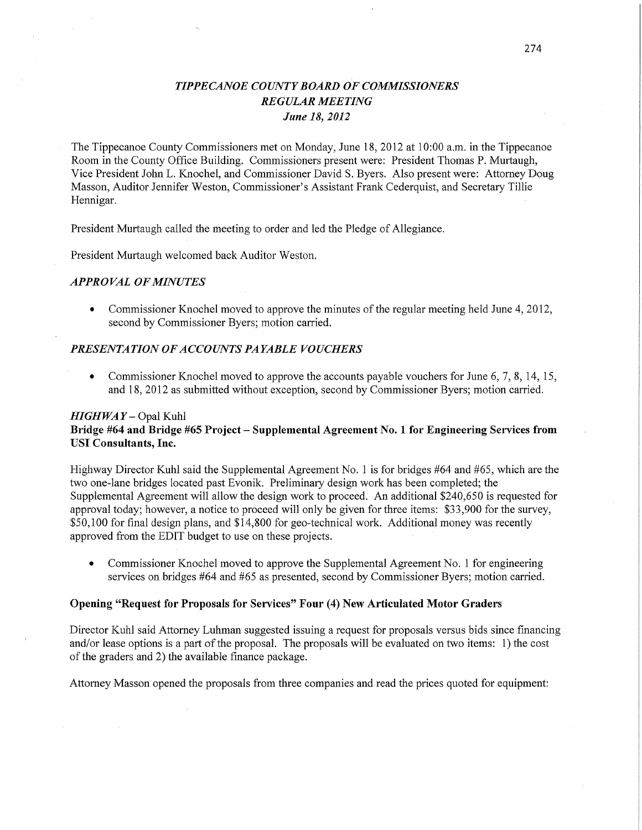# *TIPPE CANOE COUNT Y BOARD* OF *COMMISSIONERS REGULAR MEETING June* 18, *2012*

The Tippecanoe County Commissioners met on Monday, June 18, 2012 at 10:00 am. in the Tippecanoe Room in the County Office Building. Commissioners present were: President Thomas P. Murtaugh, Vice President John L. Knochel, and Commissioner David S. Byers. Also present were: Attorney Doug Masson, Auditor Jennifer Weston, Commissioner's Assistant Frank Cederquist, and Secretary Tillie Hennigar. *.* 

President Murtaugh called the meeting to order and led the Pledge of Allegiance.

President Murtaugh welcomed back Auditor Weston.

#### *APPROVAL* OF *MINUTES*

**0** Commissioner Knochel moved to approve the minutes of the regular meeting held June 4, 2012, second by Commissioner Byers; motion carried.

### *PRESENTATION* OF *ACCOUNT S PAYABLE VOUCHERS*

**0** Commissioner Knochel moved to approve the accounts payable vouchers for June 6, 7, 8, 14, 15, and 18, 2012 as submitted without exception, second by Commissioner Byers; motion carried.

### *HIGHWAY* — Opal Kuhl **Bridge #64 and Bridge #65 Project – Supplemental Agreement No. 1 for Engineering Services from** USI Consultants, **Inc.**

Highway Director Kuhl said the Supplemental Agreement No. 1 is for bridges #64 and #65, which are the two one—lane bridges located past Evonik. Preliminary design work has been completed; the Supplemental Agreement will allow the design work to proceed. An additional \$240,650 is requested for approval today; however, a notice to proceed will only be given for three items: \$33, 900 for the survey, \$50,100 for final design plans, and \$14,800 for geo-technical work. Additional money was recently approved from the EDIT budget to use on these projects.

**0** Commissioner Knochel moved to approve the Supplemental Agreement No. 1 for engineering services on bridges #64 and #65 as presented, second by Commissioner Byers; motion carried.

#### **Opening "Request** for **Proposals** for **Services"** Four (4) New Articulated **Motor Graders**

Director Kuhl said Attorney Luhman suggested issuing <sup>a</sup>request for proposals versus bids **since** financing and/or lease options is <sup>a</sup>part of the proposal. The proposals will be evaluated on two items: 1) the *cost*  of the graders and 2) the available finance package.

Attorney Masson opened the proposals from three companies and read the prices quoted for equipment: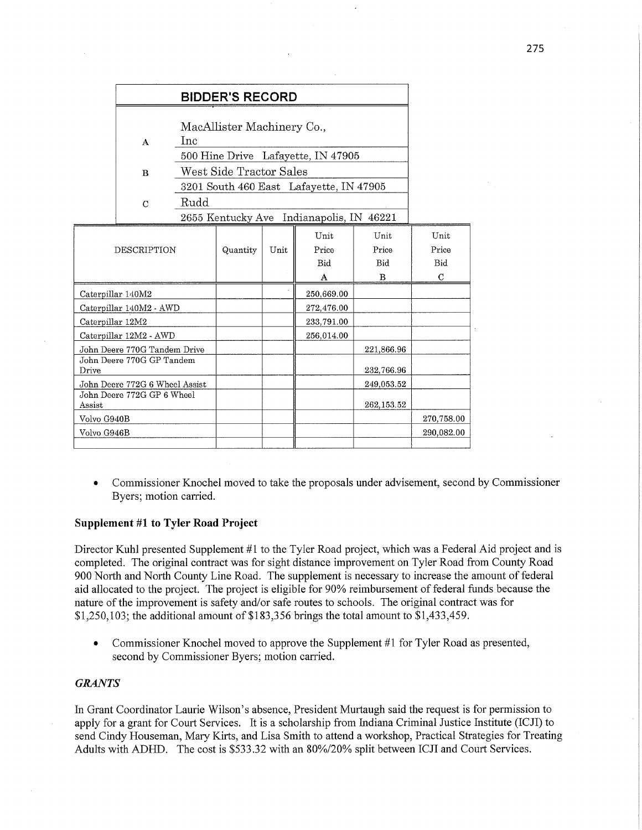|                                                                        | <b>BIDDER'S RECORD</b><br>MacAllister Machinery Co.,<br>Inc<br>A<br>500 Hine Drive Lafayette, IN 47905<br>West Side Tractor Sales<br>$\bf{B}$<br>3201 South 460 East Lafayette, IN 47905 |                                                  |          |      |                           |                                  |                                     |
|------------------------------------------------------------------------|------------------------------------------------------------------------------------------------------------------------------------------------------------------------------------------|--------------------------------------------------|----------|------|---------------------------|----------------------------------|-------------------------------------|
|                                                                        | $\mathbf C$                                                                                                                                                                              | Rudd<br>2655 Kentucky Ave Indianapolis, IN 46221 |          |      |                           |                                  |                                     |
| <b>DESCRIPTION</b>                                                     |                                                                                                                                                                                          |                                                  | Quantity | Unit | Unit<br>Price<br>Bid<br>A | Unit<br>Price<br><b>Bid</b><br>B | Unit<br>Price<br>Bid<br>$\mathbf C$ |
| Caterpillar 140M2                                                      |                                                                                                                                                                                          |                                                  |          |      | 250,669.00                |                                  |                                     |
| Caterpillar 140M2 - AWD                                                |                                                                                                                                                                                          |                                                  |          |      | 272,476.00                |                                  |                                     |
| Caterpillar 12M2                                                       |                                                                                                                                                                                          |                                                  |          |      | 233,791.00                |                                  |                                     |
| Caterpillar 12M2 - AWD                                                 |                                                                                                                                                                                          |                                                  |          |      | 256,014.00                |                                  |                                     |
| John Deere 770G Tandem Drive<br>John Deere 770G GP Tandem<br>Drive     |                                                                                                                                                                                          |                                                  |          |      |                           | 221,866.96<br>232,766.96         |                                     |
| John Deere 772G 6 Wheel Assist<br>John Deere 772G GP 6 Wheel<br>Assist |                                                                                                                                                                                          |                                                  |          |      |                           | 249,053.52<br>262,153.52         |                                     |
| Volvo G940B                                                            |                                                                                                                                                                                          |                                                  |          |      |                           |                                  | 270,758.00                          |
| Volvo G946B                                                            |                                                                                                                                                                                          |                                                  |          |      |                           |                                  | 290,082.00                          |

**0** Commissioner Knochel moved to take the proposals under advisement, second by Commissioner Byers; motion carried.

### Supplement #1 to **Tyler Road Project**

Director Kuhl presented Supplement #1 to the Tyler Road project, which was a Federal Aid project and is completed. The original contract was for sight distance improvement on Tyler Road from County Road 900 North and North County Line Road. The supplement is necessary to increase the amount of federal aid allocated to the project. The project is eligible for 90% reimbursement of federal **funds** because the nature of the improvement is safety and/or safe routes to schools. The original contract was for \$1,250,103; the additional amount of \$183,356 brings the total amount to \$1,433,459.

• Commissioner Knochel moved to approve the Supplement #1 for Tyler Road as presented, second by Commissioner Byers; motion carried.

## *GRANTS*

In Grant Coordinator Laurie Wilson's absence, President Murtaugh said the request is for permission to apply for a grant for Court Services. It is a scholarship from Indiana Criminal Justice Institute (ICJI) to send Cindy Houseman, Mary Kirts, and Lisa Smith to attend a workshop, Practical Strategies for Treating Adults With ADHD. The cost is \$533.32 with an 80%/20% split between ICJI and Court Services.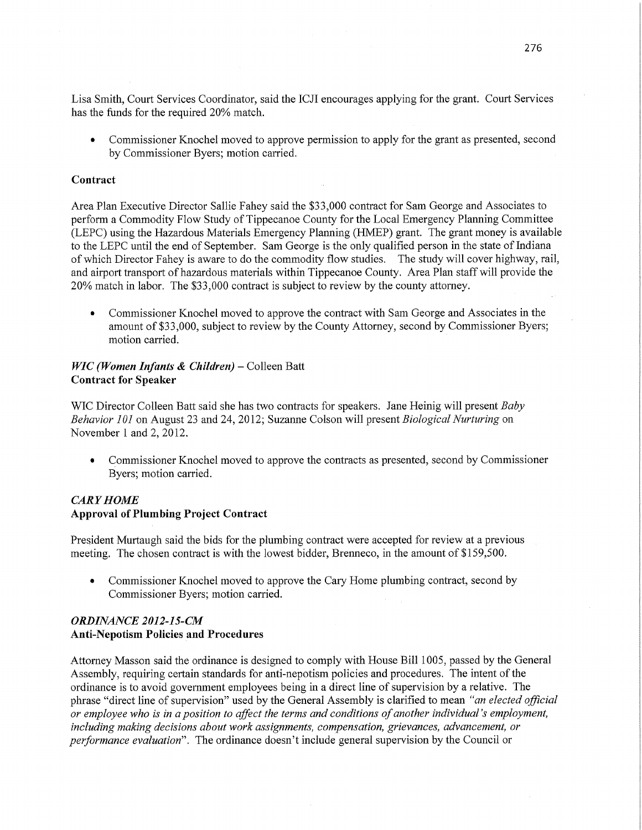Lisa Smith, Court Services Coordinator, said the ICJI encourages applying for the grant. Court Services has the **funds** for the required 20% match.

**0** Commissioner Knochel moved to approve permission to apply for the grant as presented, second by Commissioner Byers; motion carried.

### **Contract**

Area Plan Executive Director Sallie Fahey said the \$33,000 contract for Sam George and Associates to perform a Commodity Flow Study of Tippecanoe County for the Local Emergency Flaming Committee (LEPC) using the Hazardous Materials Emergency Planning (HMEP) grant. The grant money is available to the LEPC until the end of September. Sam George is the only qualified person in the state of Indiana of which Director Fahey is aware to do the commodity flow studies. The study will cover highway, rail, and airport transport of hazardous materials within Tippecanoe County. Area Plan staff will provide the 20% match in labor. The \$33,000 contract is subject to review by the county attorney.

• Commissioner Knochel moved to approve the contract with Sam George and Associates in the amount of \$33,000, subject to review by the County Attorney, second by Commissioner Byers; motion carried.

### WIC *(Women Infants & Children)* **—** Colleen Batt **Contract** for **Speaker**

WIC Director Colleen Batt said she has two contracts for speakers. Jane Heinig will presen<sup>t</sup>*Baby Behavior* 10] on August 23 and 24, 2012; Suzanne Colson will presen<sup>t</sup>*Biological Nurturing* on November 1 and 2, 2012.

**0** Commissioner Knochel moved to approve the contracts as presented, second by Commissioner Byers; motion carried.

## *CARY HOME*  **Approval** of Plumbing **Project Contract**

President Murtaugh said the bids for the plumbing contract were accepted for review at a previous meeting. The chosen contract is with the lowest bidder, Brenneco, in the amount of \$159,500.

**0** Commissioner Knochel moved to approve the Cary Home plumbing contract, second by Commissioner Byers; motion carried.

## *ORDINANCE 2012-1* 5- CM Anti-Nepotism **Policies 'and Procedures**

Attorney Masson said the ordinance is designed to comply with House Bill 1005, passed by the General Assembly, requiring certain standards for anti-nepotism policies and procedures. The intent of the ordinance is to avoid government employees being in a direct line of supervision by a relative. The <sup>p</sup>hrase "direct line of supervision" used by the General Assembly is clarified to mean "an *elected aficial*  or *employee* who is in *a position* to *affect* the *terms* and *conditions* of *another individual* 's *employment, including making decisions about work assignments, compensation, grievances, advancement,* or *performance evaluation".* The ordinance doesn't include general supervision by the Council or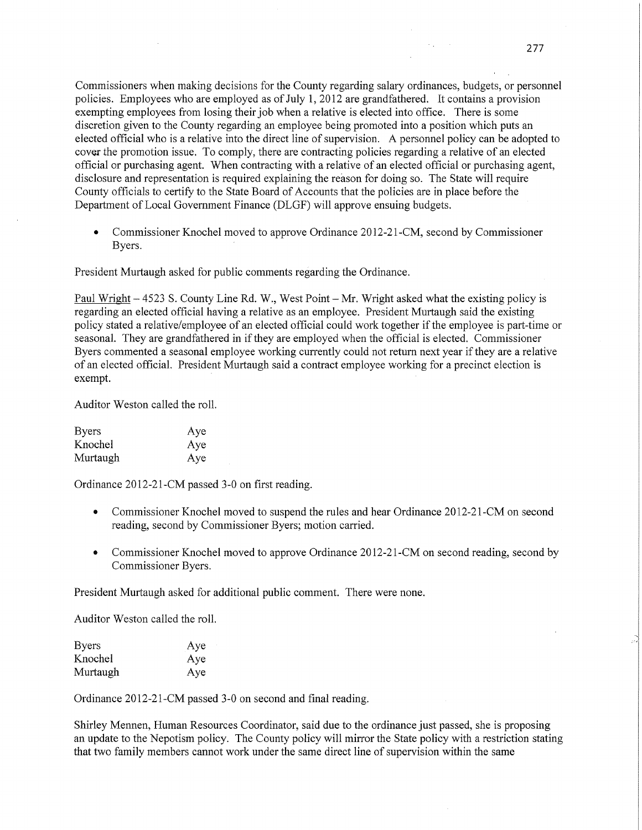Commissioners when making decisions for the County regarding salary ordinances, budgets, or personnel policies. Employees who are employed as of July 1, 2012 are grandfathered. It contains a provision exempting employees from losing their job when a relative is elected into office. There is some discretion given to the County regarding an employee being promoted into a position which puts an elected official who is a relative into the direct line of supervision. A personnel policy can be adopted to cover the promotion issue. To comply, there are contracting policies regarding a relative of an elected official or purchasing agent. When contracting with a relative of an elected official or purchasing agent, disclosure and representation is required explaining the reason for doing so. The State will require County officials to certify to the State Board of Accounts that the policies are in place before the Department of Local Government Finance (DLGF) will approve ensuing budgets.

**0** Commissioner Knochel moved to approve Ordinance 2012-21-CM, second by Commissioner Byers.

President Murtaugh asked for public comments regarding the Ordinance.

Paul Wright **—** 4523 S. County Line Rd. W., West Point **-** Mr. Wright asked What the existing policy is regarding an elected official having a relative as an employee. President Murtaugh said the existing policy stated a relative/employee of an elected official could work together if the employee is part-time or seasonal. They are grandfathered in if they are employed when the official is elected. Commissioner Byers commented a seasonal employee working currently could not return next year if they are a relative of an elected official. President Murtaugh said a contract employee working for <sup>a</sup>precinct election is exempt. The contract of the contract of the contract of the contract of the contract of the contract of the contract of the contract of the contract of the contract of the contract of the contract of the contract of the co

Auditor Weston called the roll.

| <b>Byers</b> | Aye |
|--------------|-----|
| Knochel      | Aye |
| Murtaugh     | Aye |

Ordinance 2012-21-CM passed 3—0 on first reading.

- **0** Commissioner Knochel moved to suspend the rules and hear Ordinance 2012-21-CM on second reading, second by Commissioner Byers; motion carried.
- Commissioner Knochel moved to approve Ordinance 2012-21-CM on second reading, second by Commissioner Byers.

President Murtaugh asked for additional public comment. There were none.

Auditor Weston called the roll.

| <b>Byers</b> | Aye |
|--------------|-----|
| Knochel      | Aye |
| Murtaugh     | Aye |

Ordinance 2012-21-CM passed 3-0 on second and final reading.

Shirley Mennen, Human Resources Coordinator, said due to the ordinance just passed, she is proposing an update to the Nepotism policy. The County policy will mirror the State policy with a restriction stating that two family members cannot work under the same direct line of supervision Within the same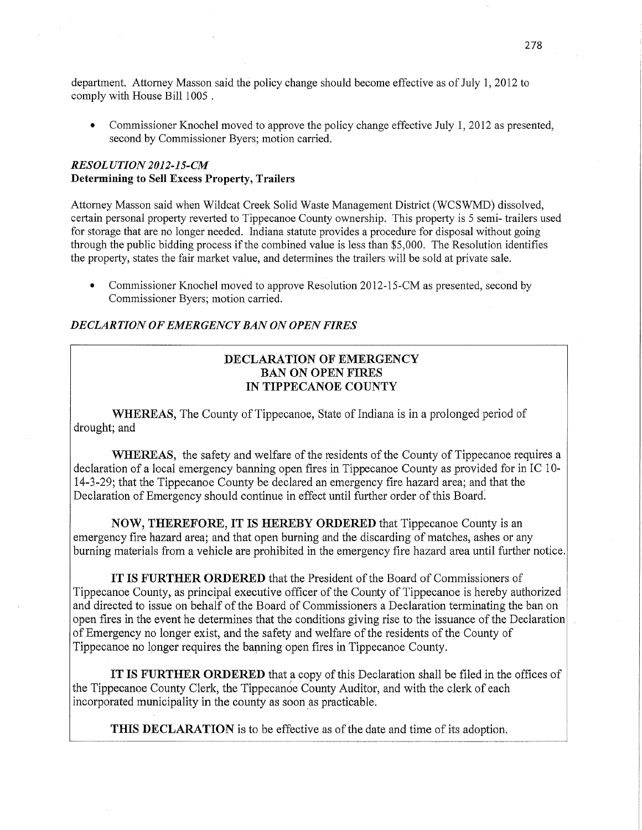department. Attorney Masson said the policy change should become effective as of July 1, 2012 to comply with House Bill 1005 *.* 

Commissioner Knochel moved to approve the policy change effective July 1, 2012 as presented, second by Commissioner Byers; motion carried.

## *RESOLUTION2012-15-CM*  **Determining** to Sell **Excess Property, Trailers**

Attorney Masson said when Wildcat Creek Solid Waste Management District (WCSWMD) dissolved, certain personal property reverted to Tippecanoe County ownership. This property is 5 semi— trailers used for storage that are no longer needed. Indiana statute provides a procedure for disposal without going through the public bidding process if the combined value is less than \$5,000. The Resolution identifies the property, states the fair market value, and determines the trailers will be sold at private sale.

• Commissioner Knochel moved to approve Resolution 2012-15-CM as presented, second by Commissioner Byers; motion carried.

## DE *CLART* ION OF *EMERGENCY* BAN 0N *OPEN FIRES*

# **DECLARATION** OF **EMERGENCY**  BAN ON **OPEN** FIRES IN **TIPPECANOE COUNTY**

WHEREAS, The County of Tippecanoe, State of Indiana is in a prolonged period of drought; and

WHEREAS, the safety and welfare of the residents of the County of Tippecanoe requires a declaration of a local emergency banning open fires in Tippecanoe County as provided for in IC 10— 14-3-29; that the Tippecanoe County be declared an emergency fire hazard area; and that the Declaration of Emergency should continue in effect until further order of this Board;

**NOW,** THEREFORE, IT IS HEREBY ORDERED that Tippecanoe County is an emergency fire hazard area; and that open burning and the discarding of matches, ashes or any burning materials from a vehicle are prohibited in the emergency fire hazard area until further notice.

IT IS FURTHER ORDERED that the President of the Board of Commissioners of Tippecanoe County, as principal executive officer of the County of Tippecanoe is hereby authorized and directed to issue on behalf of the Board of Commissioners a Declaration terminating the ban on open fires in the event he determines that the conditions giving rise to the issuance of the Declaration *.* of Emergency no longer exist, and the safety and welfare of the residents of the County of Tippecanoe no longer requires the banning open fires in Tippecanoe County.

IT IS FURTHER ORDERED that <sup>a</sup>copy of **this** Declaration shall be filed in the offices of the Tippecanoe County Clerk, the Tippecanée County Auditor, and with the clerk of each incorporated municipality in the county as soon as practicable.

**THIS DECLARATION** is to be effective as of the date and time of its adoption.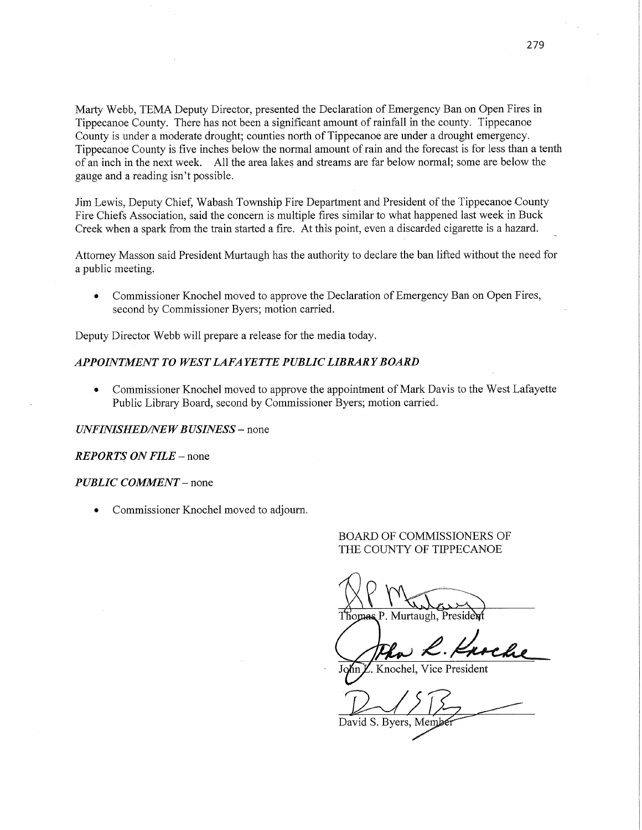Marty Webb, TEMA Deputy Director, presented the Declaration of Emergency Ban on Open Fires in Tippecanoe County. There has not been **a** significant amount of rainfall in the county. Tippecanoe County is under a moderate drought; counties north of Tippecanoe are under **a** drought emergency. Tippecanoe County is five inches below the normal amount of rain and the forecast is for less than a tenth of an inch in the next week. All the area lakes and streams are far below normal; some are below the gauge and a reading isn't possible.

Jim Lewis, Deputy Chief, Wabash Township Fire Department and President of the Tippecanoe County Fire **Chiefs** Association, said the concern is multiple fires similar to what happened last week in Buck Creek **when a** spark from the train started a **fire.** At **this** point, even a discarded cigarette is a hazard.

Attorney Masson said President Murtaugh has the authority to declare the ban lifted without the need for a public meeting.

**0** Commissioner Knochel moved to approve the Declaration of Emergency Ban on Open'Fires, second by Commissioner Byers; motion carried.

Deputy Director Webb will prepare a release for the media today.

#### *APPOHVIMENT* T0 *WEST LAFA YETTE PUBLIC LIBRARY BOARD*

**0** Commissioner Knochel moved to approve the appointment of Mark **Davis** to the West Lafayette Public Library Board, second by Commissioner Byers; motion carried.

#### *UNFINISHED/NEW BUSINESS –* none

*REPORTS* ON *FILE* —- none

#### *PUBLIC COMMENT* — none

**0** Commissioner Knochel moved to adjourn.

### BOARD OF COMMISSIONERS OF THE COUNTY OF TIPPECANOE

Thomas P. Murtaugh, Preside

 $\ln \mathbb{Z}$ . Knochel, Vice President

David S. Byers,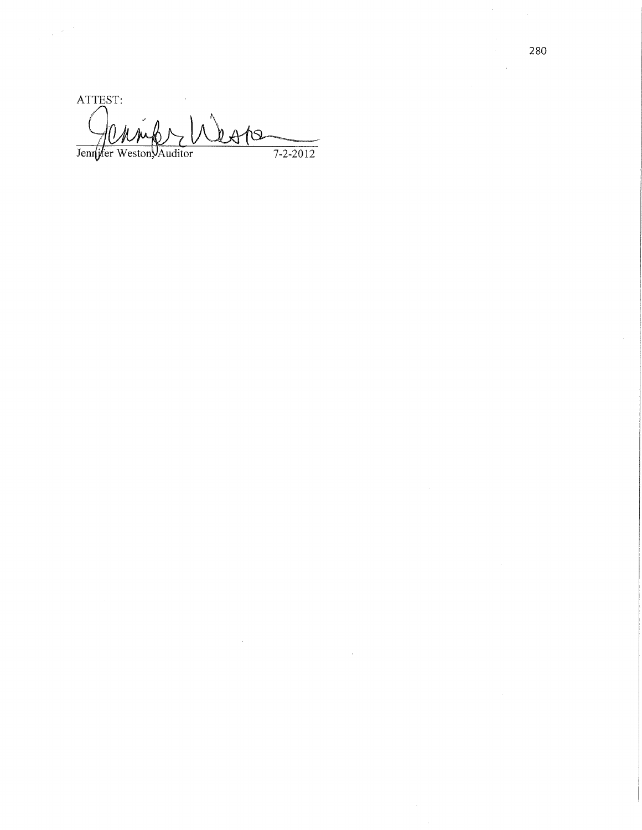ATTEST:  $h \triangle A$ Jennyfer Weston, Auditor  $7 - 2 - 2012$ 

 $\mathcal{L}$